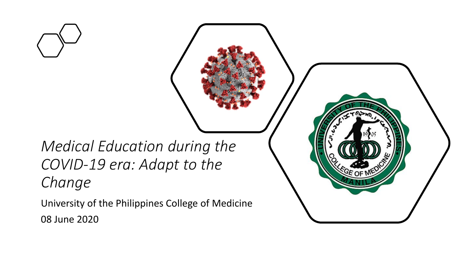*Medical Education during the COVID-19 era: Adapt to the Change*

University of the Philippines College of Medicine 08 June 2020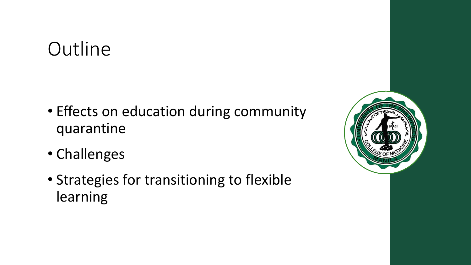### **Outline**

- Effects on education during community quarantine
- Challenges
- Strategies for transitioning to flexible learning

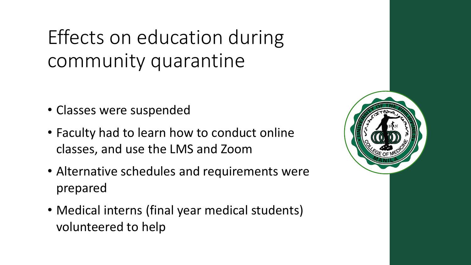# Effects on education during community quarantine

- Classes were suspended
- Faculty had to learn how to conduct online classes, and use the LMS and Zoom
- Alternative schedules and requirements were prepared
- Medical interns (final year medical students) volunteered to help

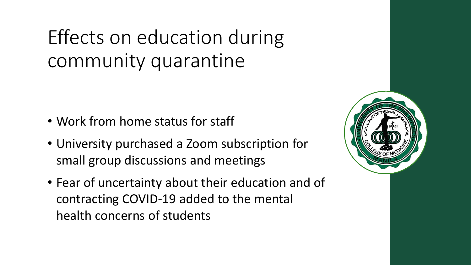# Effects on education during community quarantine

- Work from home status for staff
- University purchased a Zoom subscription for small group discussions and meetings
- Fear of uncertainty about their education and of contracting COVID-19 added to the mental health concerns of students

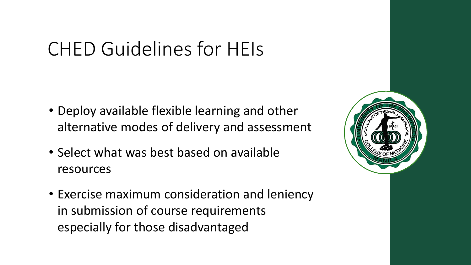# CHED Guidelines for HEIs

- Deploy available flexible learning and other alternative modes of delivery and assessment
- Select what was best based on available resources
- Exercise maximum consideration and leniency in submission of course requirements especially for those disadvantaged

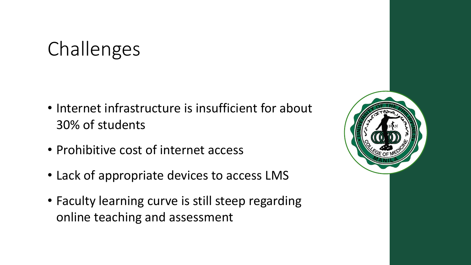## Challenges

- Internet infrastructure is insufficient for about 30% of students
- Prohibitive cost of internet access
- Lack of appropriate devices to access LMS
- Faculty learning curve is still steep regarding online teaching and assessment

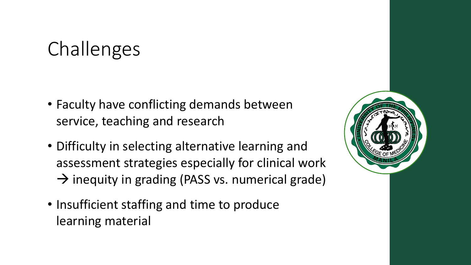## Challenges

- Faculty have conflicting demands between service, teaching and research
- Difficulty in selecting alternative learning and assessment strategies especially for clinical work  $\rightarrow$  inequity in grading (PASS vs. numerical grade)
- Insufficient staffing and time to produce learning material

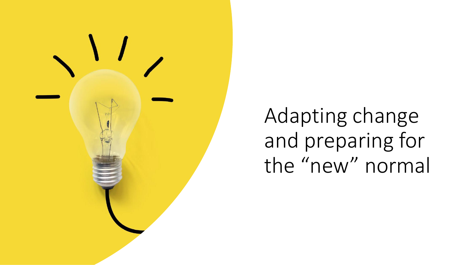

Adapting change and preparing for the "new" normal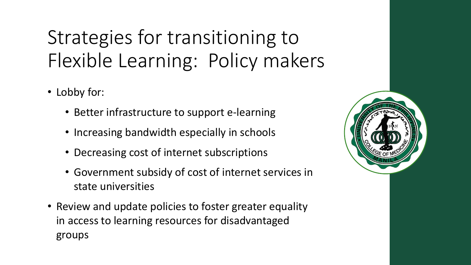# Strategies for transitioning to Flexible Learning: Policy makers

- Lobby for:
	- Better infrastructure to support e-learning
	- Increasing bandwidth especially in schools
	- Decreasing cost of internet subscriptions
	- Government subsidy of cost of internet services in state universities
- Review and update policies to foster greater equality in access to learning resources for disadvantaged groups

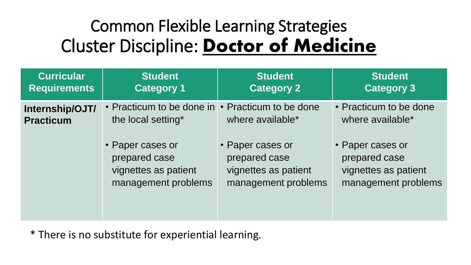#### Common Flexible Learning Strategies Cluster Discipline: **Doctor of Medicine**

| <b>Curricular</b><br><b>Requirements</b> | <b>Student</b><br><b>Category 1</b>                                              | <b>Student</b><br><b>Category 2</b>                                              | <b>Student</b><br><b>Category 3</b>                                              |
|------------------------------------------|----------------------------------------------------------------------------------|----------------------------------------------------------------------------------|----------------------------------------------------------------------------------|
| Internship/OJT/<br><b>Practicum</b>      | • Practicum to be done in<br>the local setting*                                  | • Practicum to be done<br>where available*                                       | • Practicum to be done<br>where available*                                       |
|                                          | • Paper cases or<br>prepared case<br>vignettes as patient<br>management problems | • Paper cases or<br>prepared case<br>vignettes as patient<br>management problems | • Paper cases or<br>prepared case<br>vignettes as patient<br>management problems |

\* There is no substitute for experiential learning.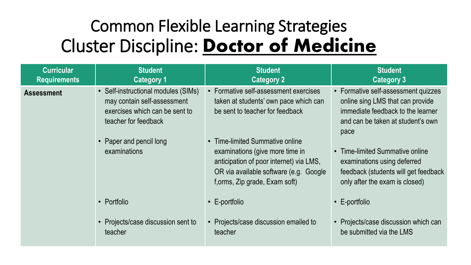#### Common Flexible Learning Strategies Cluster Discipline: **Doctor of Medicine**

| <b>Curricular</b>   | <b>Student</b>                                                                                                                                                          | <b>Student</b>                                                                                                                                                                                                                                                                                                 | <b>Student</b>                                                                                                                                                                                                                                                                                      |
|---------------------|-------------------------------------------------------------------------------------------------------------------------------------------------------------------------|----------------------------------------------------------------------------------------------------------------------------------------------------------------------------------------------------------------------------------------------------------------------------------------------------------------|-----------------------------------------------------------------------------------------------------------------------------------------------------------------------------------------------------------------------------------------------------------------------------------------------------|
| <b>Requirements</b> | <b>Category 1</b>                                                                                                                                                       | <b>Category 2</b>                                                                                                                                                                                                                                                                                              | <b>Category 3</b>                                                                                                                                                                                                                                                                                   |
| <b>Assessment</b>   | • Self-instructional modules (SIMs)<br>may contain self-assessment<br>exercises which can be sent to<br>teacher for feedback<br>• Paper and pencil long<br>examinations | • Formative self-assessment exercises<br>taken at students' own pace which can<br>be sent to teacher for feedback<br>• Time-limited Summative online<br>examinations (give more time in<br>anticipation of poor internet) via LMS,<br>OR via available software (e.g. Google<br>f, orms, Zip grade, Exam soft) | • Formative self-assessment quizzes<br>online sing LMS that can provide<br>immediate feedback to the learner<br>and can be taken at student's own<br>pace<br>Time-limited Summative online<br>examinations using deferred<br>feedback (students will get feedback<br>only after the exam is closed) |
|                     | • Portfolio                                                                                                                                                             | $\cdot$ E-portfolio                                                                                                                                                                                                                                                                                            | $\cdot$ E-portfolio                                                                                                                                                                                                                                                                                 |
|                     | • Projects/case discussion sent to                                                                                                                                      | • Projects/case discussion emailed to                                                                                                                                                                                                                                                                          | • Projects/case discussion which can                                                                                                                                                                                                                                                                |
|                     | teacher                                                                                                                                                                 | teacher                                                                                                                                                                                                                                                                                                        | be submitted via the LMS                                                                                                                                                                                                                                                                            |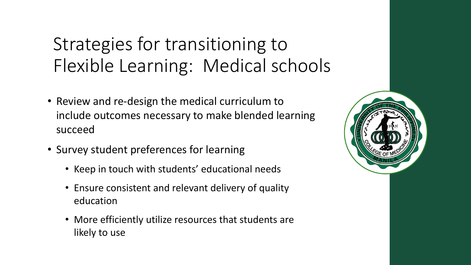### Strategies for transitioning to Flexible Learning: Medical schools

- Review and re-design the medical curriculum to include outcomes necessary to make blended learning succeed
- Survey student preferences for learning
	- Keep in touch with students' educational needs
	- Ensure consistent and relevant delivery of quality education
	- More efficiently utilize resources that students are likely to use

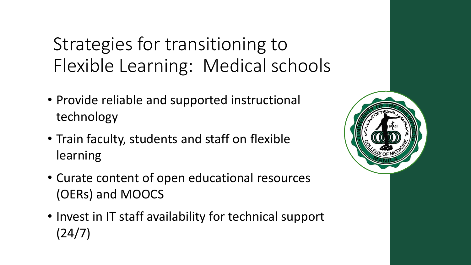Strategies for transitioning to Flexible Learning: Medical schools

- Provide reliable and supported instructional technology
- Train faculty, students and staff on flexible learning
- Curate content of open educational resources (OERs) and MOOCS
- Invest in IT staff availability for technical support (24/7)

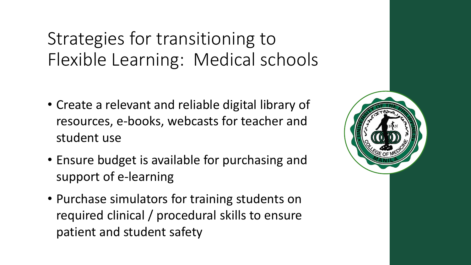#### Strategies for transitioning to Flexible Learning: Medical schools

- Create a relevant and reliable digital library of resources, e-books, webcasts for teacher and student use
- Ensure budget is available for purchasing and support of e-learning
- Purchase simulators for training students on required clinical / procedural skills to ensure patient and student safety